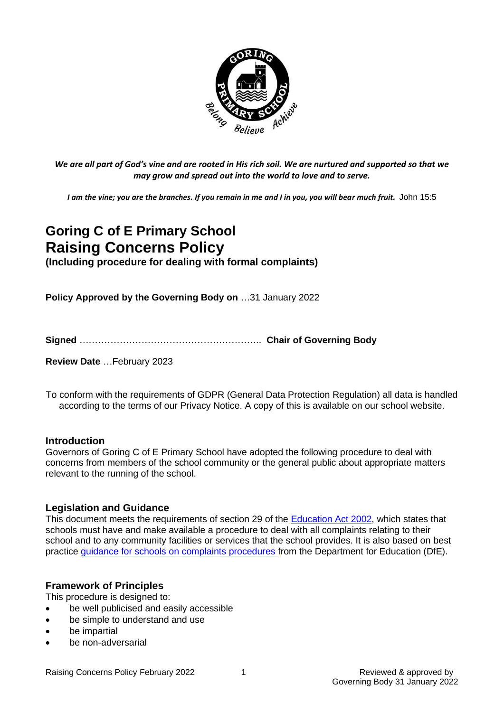

*We are all part of God's vine and are rooted in His rich soil. We are nurtured and supported so that we may grow and spread out into the world to love and to serve.*

*I am the vine; you are the branches. If you remain in me and I in you, you will bear much fruit.* John 15:5

# **Goring C of E Primary School Raising Concerns Policy (Including procedure for dealing with formal complaints)**

**Policy Approved by the Governing Body on** …31 January 2022

**Signed** ………………………………………………….. **Chair of Governing Body**

**Review Date** …February 2023

To conform with the requirements of GDPR (General Data Protection Regulation) all data is handled according to the terms of our Privacy Notice. A copy of this is available on our school website.

#### **Introduction**

Governors of Goring C of E Primary School have adopted the following procedure to deal with concerns from members of the school community or the general public about appropriate matters relevant to the running of the school.

#### **Legislation and Guidance**

This document meets the requirements of section 29 of the [Education Act 2002,](http://www.legislation.gov.uk/ukpga/2002/32/section/29) which states that schools must have and make available a procedure to deal with all complaints relating to their school and to any community facilities or services that the school provides. It is also based on best practice [guidance for schools on complaints procedures](https://www.gov.uk/government/publications/school-complaints-procedures) from the Department for Education (DfE).

#### **Framework of Principles**

This procedure is designed to:

- be well publicised and easily accessible
- be simple to understand and use
- be impartial
- be non-adversarial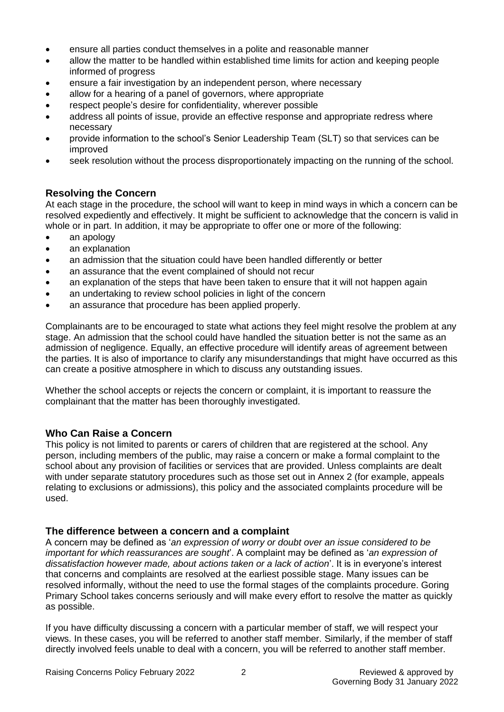- ensure all parties conduct themselves in a polite and reasonable manner
- allow the matter to be handled within established time limits for action and keeping people informed of progress
- ensure a fair investigation by an independent person, where necessary
- allow for a hearing of a panel of governors, where appropriate
- respect people's desire for confidentiality, wherever possible
- address all points of issue, provide an effective response and appropriate redress where necessary
- provide information to the school's Senior Leadership Team (SLT) so that services can be improved
- seek resolution without the process disproportionately impacting on the running of the school.

# **Resolving the Concern**

At each stage in the procedure, the school will want to keep in mind ways in which a concern can be resolved expediently and effectively. It might be sufficient to acknowledge that the concern is valid in whole or in part. In addition, it may be appropriate to offer one or more of the following:

- an apology
- an explanation
- an admission that the situation could have been handled differently or better
- an assurance that the event complained of should not recur
- an explanation of the steps that have been taken to ensure that it will not happen again
- an undertaking to review school policies in light of the concern
- an assurance that procedure has been applied properly.

Complainants are to be encouraged to state what actions they feel might resolve the problem at any stage. An admission that the school could have handled the situation better is not the same as an admission of negligence. Equally, an effective procedure will identify areas of agreement between the parties. It is also of importance to clarify any misunderstandings that might have occurred as this can create a positive atmosphere in which to discuss any outstanding issues.

Whether the school accepts or rejects the concern or complaint, it is important to reassure the complainant that the matter has been thoroughly investigated.

# **Who Can Raise a Concern**

This policy is not limited to parents or carers of children that are registered at the school. Any person, including members of the public, may raise a concern or make a formal complaint to the school about any provision of facilities or services that are provided. Unless complaints are dealt with under separate statutory procedures such as those set out in Annex 2 (for example, appeals relating to exclusions or admissions), this policy and the associated complaints procedure will be used.

# **The difference between a concern and a complaint**

A concern may be defined as '*an expression of worry or doubt over an issue considered to be important for which reassurances are sought*'. A complaint may be defined as '*an expression of dissatisfaction however made, about actions taken or a lack of action*'. It is in everyone's interest that concerns and complaints are resolved at the earliest possible stage. Many issues can be resolved informally, without the need to use the formal stages of the complaints procedure. Goring Primary School takes concerns seriously and will make every effort to resolve the matter as quickly as possible.

If you have difficulty discussing a concern with a particular member of staff, we will respect your views. In these cases, you will be referred to another staff member. Similarly, if the member of staff directly involved feels unable to deal with a concern, you will be referred to another staff member.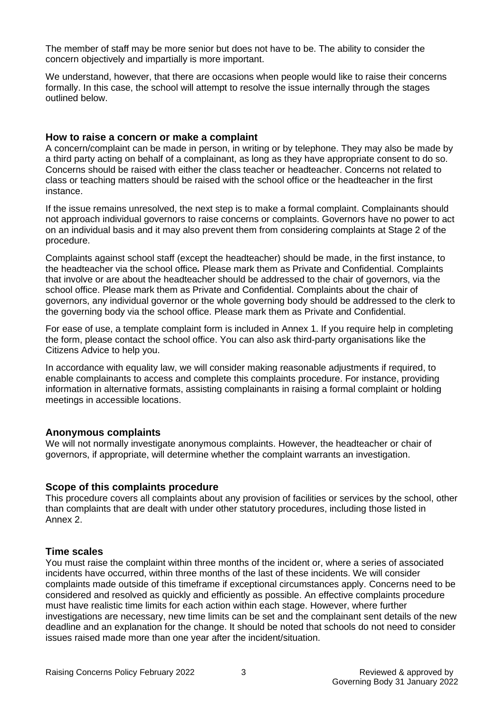The member of staff may be more senior but does not have to be. The ability to consider the concern objectively and impartially is more important.

We understand, however, that there are occasions when people would like to raise their concerns formally. In this case, the school will attempt to resolve the issue internally through the stages outlined below.

#### **How to raise a concern or make a complaint**

A concern/complaint can be made in person, in writing or by telephone. They may also be made by a third party acting on behalf of a complainant, as long as they have appropriate consent to do so. Concerns should be raised with either the class teacher or headteacher. Concerns not related to class or teaching matters should be raised with the school office or the headteacher in the first instance.

If the issue remains unresolved, the next step is to make a formal complaint. Complainants should not approach individual governors to raise concerns or complaints. Governors have no power to act on an individual basis and it may also prevent them from considering complaints at Stage 2 of the procedure.

Complaints against school staff (except the headteacher) should be made, in the first instance, to the headteacher via the school office*.* Please mark them as Private and Confidential. Complaints that involve or are about the headteacher should be addressed to the chair of governors, via the school office. Please mark them as Private and Confidential. Complaints about the chair of governors, any individual governor or the whole governing body should be addressed to the clerk to the governing body via the school office. Please mark them as Private and Confidential.

For ease of use, a template complaint form is included in Annex 1. If you require help in completing the form, please contact the school office. You can also ask third-party organisations like the Citizens Advice to help you.

In accordance with equality law, we will consider making reasonable adjustments if required, to enable complainants to access and complete this complaints procedure. For instance, providing information in alternative formats, assisting complainants in raising a formal complaint or holding meetings in accessible locations.

#### **Anonymous complaints**

We will not normally investigate anonymous complaints. However, the headteacher or chair of governors, if appropriate, will determine whether the complaint warrants an investigation.

#### **Scope of this complaints procedure**

This procedure covers all complaints about any provision of facilities or services by the school, other than complaints that are dealt with under other statutory procedures, including those listed in Annex 2.

#### **Time scales**

You must raise the complaint within three months of the incident or, where a series of associated incidents have occurred, within three months of the last of these incidents. We will consider complaints made outside of this timeframe if exceptional circumstances apply. Concerns need to be considered and resolved as quickly and efficiently as possible. An effective complaints procedure must have realistic time limits for each action within each stage. However, where further investigations are necessary, new time limits can be set and the complainant sent details of the new deadline and an explanation for the change. It should be noted that schools do not need to consider issues raised made more than one year after the incident/situation.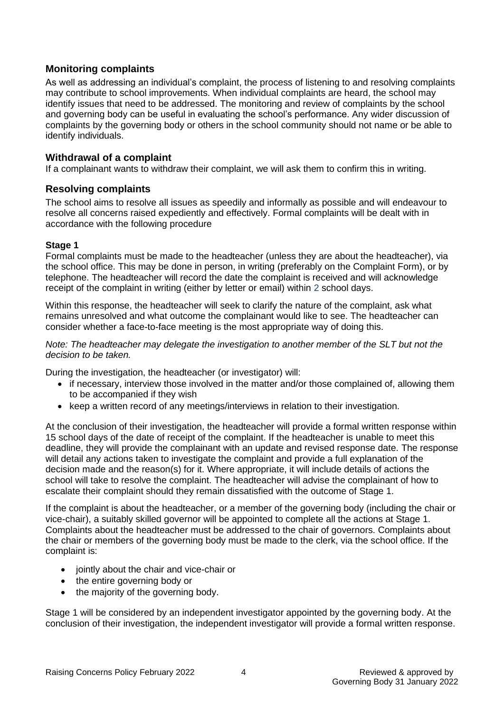# **Monitoring complaints**

As well as addressing an individual's complaint, the process of listening to and resolving complaints may contribute to school improvements. When individual complaints are heard, the school may identify issues that need to be addressed. The monitoring and review of complaints by the school and governing body can be useful in evaluating the school's performance. Any wider discussion of complaints by the governing body or others in the school community should not name or be able to identify individuals.

# **Withdrawal of a complaint**

If a complainant wants to withdraw their complaint, we will ask them to confirm this in writing.

# **Resolving complaints**

The school aims to resolve all issues as speedily and informally as possible and will endeavour to resolve all concerns raised expediently and effectively. Formal complaints will be dealt with in accordance with the following procedure

#### **Stage 1**

Formal complaints must be made to the headteacher (unless they are about the headteacher), via the school office. This may be done in person, in writing (preferably on the Complaint Form), or by telephone. The headteacher will record the date the complaint is received and will acknowledge receipt of the complaint in writing (either by letter or email) within 2 school days.

Within this response, the headteacher will seek to clarify the nature of the complaint, ask what remains unresolved and what outcome the complainant would like to see. The headteacher can consider whether a face-to-face meeting is the most appropriate way of doing this.

*Note: The headteacher may delegate the investigation to another member of the SLT but not the decision to be taken.*

During the investigation, the headteacher (or investigator) will:

- if necessary, interview those involved in the matter and/or those complained of, allowing them to be accompanied if they wish
- keep a written record of any meetings/interviews in relation to their investigation.

At the conclusion of their investigation, the headteacher will provide a formal written response within 15 school days of the date of receipt of the complaint. If the headteacher is unable to meet this deadline, they will provide the complainant with an update and revised response date. The response will detail any actions taken to investigate the complaint and provide a full explanation of the decision made and the reason(s) for it. Where appropriate, it will include details of actions the school will take to resolve the complaint. The headteacher will advise the complainant of how to escalate their complaint should they remain dissatisfied with the outcome of Stage 1.

If the complaint is about the headteacher, or a member of the governing body (including the chair or vice-chair), a suitably skilled governor will be appointed to complete all the actions at Stage 1. Complaints about the headteacher must be addressed to the chair of governors. Complaints about the chair or members of the governing body must be made to the clerk, via the school office. If the complaint is:

- jointly about the chair and vice-chair or
- the entire governing body or
- the majority of the governing body.

Stage 1 will be considered by an independent investigator appointed by the governing body. At the conclusion of their investigation, the independent investigator will provide a formal written response.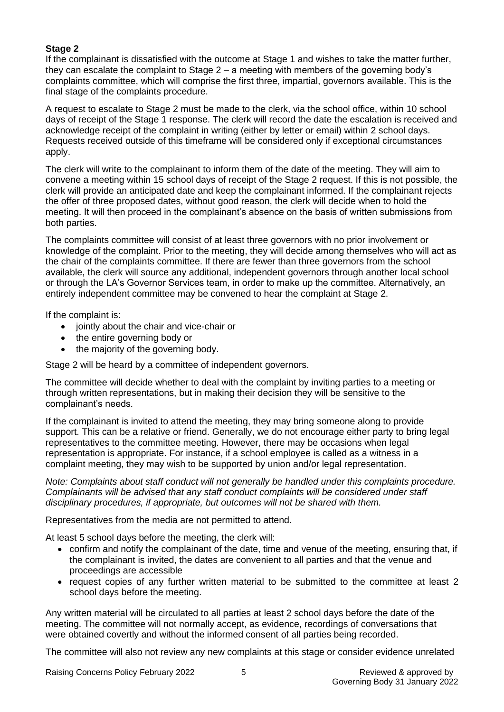#### **Stage 2**

If the complainant is dissatisfied with the outcome at Stage 1 and wishes to take the matter further, they can escalate the complaint to Stage 2 – a meeting with members of the governing body's complaints committee, which will comprise the first three, impartial, governors available. This is the final stage of the complaints procedure.

A request to escalate to Stage 2 must be made to the clerk, via the school office, within 10 school days of receipt of the Stage 1 response. The clerk will record the date the escalation is received and acknowledge receipt of the complaint in writing (either by letter or email) within 2 school days. Requests received outside of this timeframe will be considered only if exceptional circumstances apply.

The clerk will write to the complainant to inform them of the date of the meeting. They will aim to convene a meeting within 15 school days of receipt of the Stage 2 request. If this is not possible, the clerk will provide an anticipated date and keep the complainant informed. If the complainant rejects the offer of three proposed dates, without good reason, the clerk will decide when to hold the meeting. It will then proceed in the complainant's absence on the basis of written submissions from both parties.

The complaints committee will consist of at least three governors with no prior involvement or knowledge of the complaint. Prior to the meeting, they will decide among themselves who will act as the chair of the complaints committee. If there are fewer than three governors from the school available, the clerk will source any additional, independent governors through another local school or through the LA's Governor Services team, in order to make up the committee. Alternatively, an entirely independent committee may be convened to hear the complaint at Stage 2.

If the complaint is:

- jointly about the chair and vice-chair or
- the entire governing body or
- the majority of the governing body.

Stage 2 will be heard by a committee of independent governors.

The committee will decide whether to deal with the complaint by inviting parties to a meeting or through written representations, but in making their decision they will be sensitive to the complainant's needs.

If the complainant is invited to attend the meeting, they may bring someone along to provide support. This can be a relative or friend. Generally, we do not encourage either party to bring legal representatives to the committee meeting. However, there may be occasions when legal representation is appropriate. For instance, if a school employee is called as a witness in a complaint meeting, they may wish to be supported by union and/or legal representation.

*Note: Complaints about staff conduct will not generally be handled under this complaints procedure. Complainants will be advised that any staff conduct complaints will be considered under staff disciplinary procedures, if appropriate, but outcomes will not be shared with them.* 

Representatives from the media are not permitted to attend.

At least 5 school days before the meeting, the clerk will:

- confirm and notify the complainant of the date, time and venue of the meeting, ensuring that, if the complainant is invited, the dates are convenient to all parties and that the venue and proceedings are accessible
- request copies of any further written material to be submitted to the committee at least 2 school days before the meeting.

Any written material will be circulated to all parties at least 2 school days before the date of the meeting. The committee will not normally accept, as evidence, recordings of conversations that were obtained covertly and without the informed consent of all parties being recorded.

The committee will also not review any new complaints at this stage or consider evidence unrelated

Raising Concerns Policy February 2022 5 5 Reviewed & approved by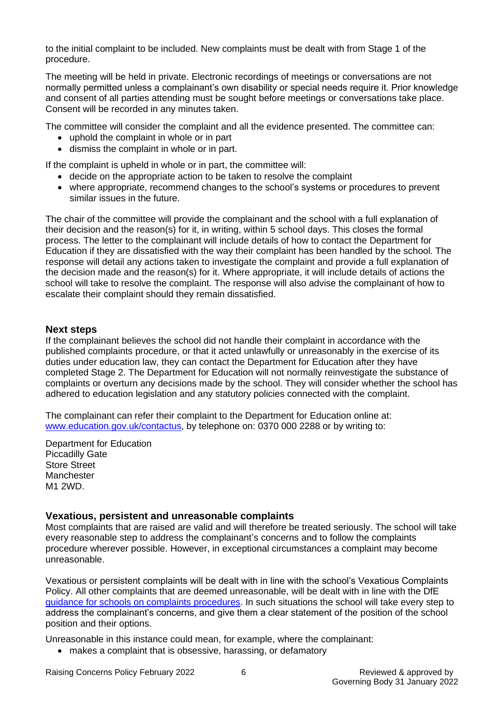to the initial complaint to be included. New complaints must be dealt with from Stage 1 of the procedure.

The meeting will be held in private. Electronic recordings of meetings or conversations are not normally permitted unless a complainant's own disability or special needs require it. Prior knowledge and consent of all parties attending must be sought before meetings or conversations take place. Consent will be recorded in any minutes taken.

The committee will consider the complaint and all the evidence presented. The committee can:

- uphold the complaint in whole or in part
- dismiss the complaint in whole or in part.

If the complaint is upheld in whole or in part, the committee will:

- decide on the appropriate action to be taken to resolve the complaint
- where appropriate, recommend changes to the school's systems or procedures to prevent similar issues in the future.

The chair of the committee will provide the complainant and the school with a full explanation of their decision and the reason(s) for it, in writing, within 5 school days. This closes the formal process. The letter to the complainant will include details of how to contact the Department for Education if they are dissatisfied with the way their complaint has been handled by the school. The response will detail any actions taken to investigate the complaint and provide a full explanation of the decision made and the reason(s) for it. Where appropriate, it will include details of actions the school will take to resolve the complaint. The response will also advise the complainant of how to escalate their complaint should they remain dissatisfied.

#### **Next steps**

If the complainant believes the school did not handle their complaint in accordance with the published complaints procedure, or that it acted unlawfully or unreasonably in the exercise of its duties under education law, they can contact the Department for Education after they have completed Stage 2. The Department for Education will not normally reinvestigate the substance of complaints or overturn any decisions made by the school. They will consider whether the school has adhered to education legislation and any statutory policies connected with the complaint.

The complainant can refer their complaint to the Department for Education online at: [www.education.gov.uk/contactus,](http://www.education.gov.uk/contactus) by telephone on: 0370 000 2288 or by writing to:

Department for Education Piccadilly Gate Store Street **Manchester** M1 2WD.

#### **Vexatious, persistent and unreasonable complaints**

Most complaints that are raised are valid and will therefore be treated seriously. The school will take every reasonable step to address the complainant's concerns and to follow the complaints procedure wherever possible. However, in exceptional circumstances a complaint may become unreasonable.

Vexatious or persistent complaints will be dealt with in line with the school's Vexatious Complaints Policy. All other complaints that are deemed unreasonable, will be dealt with in line with the DfE [guidance for schools on complaints procedures.](https://www.gov.uk/government/publications/school-complaints-procedures) In such situations the school will take every step to address the complainant's concerns, and give them a clear statement of the position of the school position and their options.

Unreasonable in this instance could mean, for example, where the complainant:

• makes a complaint that is obsessive, harassing, or defamatory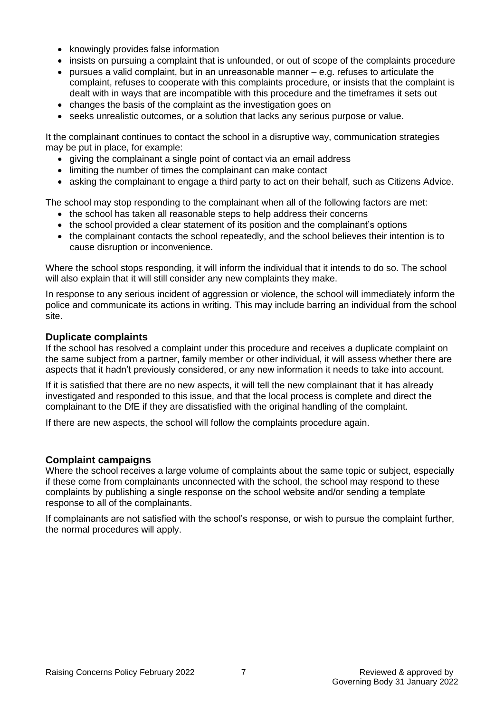- knowingly provides false information
- insists on pursuing a complaint that is unfounded, or out of scope of the complaints procedure
- pursues a valid complaint, but in an unreasonable manner e.g. refuses to articulate the complaint, refuses to cooperate with this complaints procedure, or insists that the complaint is dealt with in ways that are incompatible with this procedure and the timeframes it sets out
- changes the basis of the complaint as the investigation goes on
- seeks unrealistic outcomes, or a solution that lacks any serious purpose or value.

It the complainant continues to contact the school in a disruptive way, communication strategies may be put in place, for example:

- giving the complainant a single point of contact via an email address
- limiting the number of times the complainant can make contact
- asking the complainant to engage a third party to act on their behalf, such as [Citizens Advice.](https://www.citizensadvice.org.uk/)

The school may stop responding to the complainant when all of the following factors are met:

- the school has taken all reasonable steps to help address their concerns
- the school provided a clear statement of its position and the complainant's options
- the complainant contacts the school repeatedly, and the school believes their intention is to cause disruption or inconvenience.

Where the school stops responding, it will inform the individual that it intends to do so. The school will also explain that it will still consider any new complaints they make.

In response to any serious incident of aggression or violence, the school will immediately inform the police and communicate its actions in writing. This may include barring an individual from the school site.

#### **Duplicate complaints**

If the school has resolved a complaint under this procedure and receives a duplicate complaint on the same subject from a partner, family member or other individual, it will assess whether there are aspects that it hadn't previously considered, or any new information it needs to take into account.

If it is satisfied that there are no new aspects, it will tell the new complainant that it has already investigated and responded to this issue, and that the local process is complete and direct the complainant to the DfE if they are dissatisfied with the original handling of the complaint.

If there are new aspects, the school will follow the complaints procedure again.

# **Complaint campaigns**

Where the school receives a large volume of complaints about the same topic or subject, especially if these come from complainants unconnected with the school, the school may respond to these complaints by publishing a single response on the school website and/or sending a template response to all of the complainants.

If complainants are not satisfied with the school's response, or wish to pursue the complaint further, the normal procedures will apply.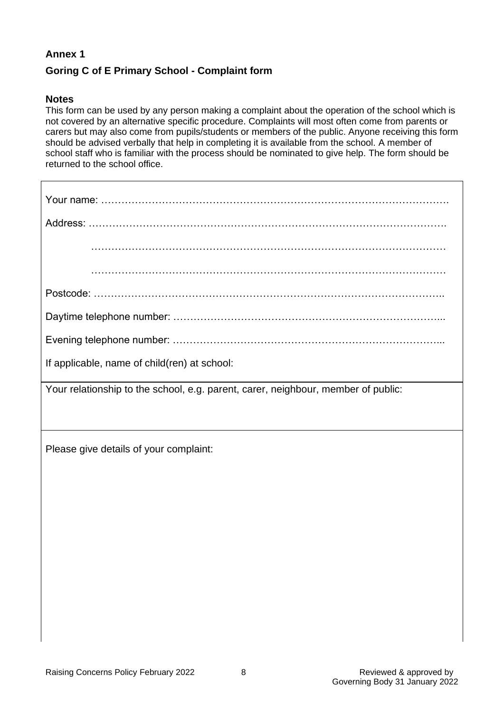# **Annex 1**

# **Goring C of E Primary School - Complaint form**

#### **Notes**

This form can be used by any person making a complaint about the operation of the school which is not covered by an alternative specific procedure. Complaints will most often come from parents or carers but may also come from pupils/students or members of the public. Anyone receiving this form should be advised verbally that help in completing it is available from the school. A member of school staff who is familiar with the process should be nominated to give help. The form should be returned to the school office.

| If applicable, name of child(ren) at school:                                      |  |  |  |  |
|-----------------------------------------------------------------------------------|--|--|--|--|
| Your relationship to the school, e.g. parent, carer, neighbour, member of public: |  |  |  |  |
|                                                                                   |  |  |  |  |
|                                                                                   |  |  |  |  |
| Please give details of your complaint:                                            |  |  |  |  |

Please give details of your complaint: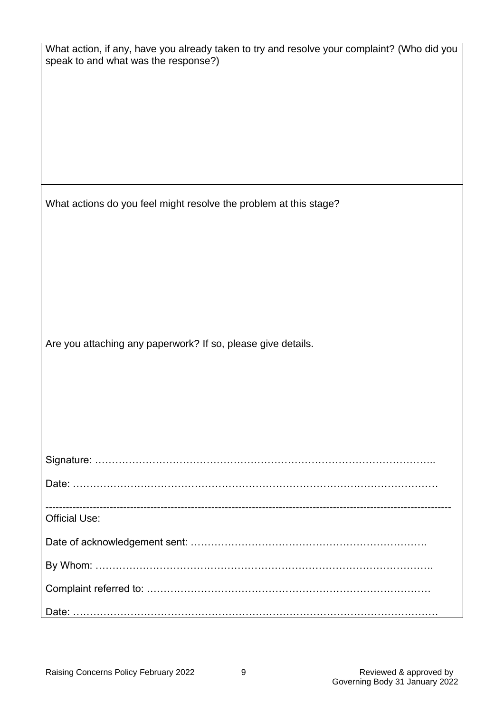| What action, if any, have you already taken to try and resolve your complaint? (Who did you<br>speak to and what was the response?) |  |  |  |  |
|-------------------------------------------------------------------------------------------------------------------------------------|--|--|--|--|
|                                                                                                                                     |  |  |  |  |
| What actions do you feel might resolve the problem at this stage?                                                                   |  |  |  |  |
|                                                                                                                                     |  |  |  |  |
|                                                                                                                                     |  |  |  |  |
|                                                                                                                                     |  |  |  |  |
|                                                                                                                                     |  |  |  |  |
|                                                                                                                                     |  |  |  |  |
| Are you attaching any paperwork? If so, please give details.                                                                        |  |  |  |  |
|                                                                                                                                     |  |  |  |  |
|                                                                                                                                     |  |  |  |  |
|                                                                                                                                     |  |  |  |  |
|                                                                                                                                     |  |  |  |  |
|                                                                                                                                     |  |  |  |  |
|                                                                                                                                     |  |  |  |  |
| <b>Official Use:</b>                                                                                                                |  |  |  |  |
|                                                                                                                                     |  |  |  |  |
|                                                                                                                                     |  |  |  |  |
|                                                                                                                                     |  |  |  |  |
|                                                                                                                                     |  |  |  |  |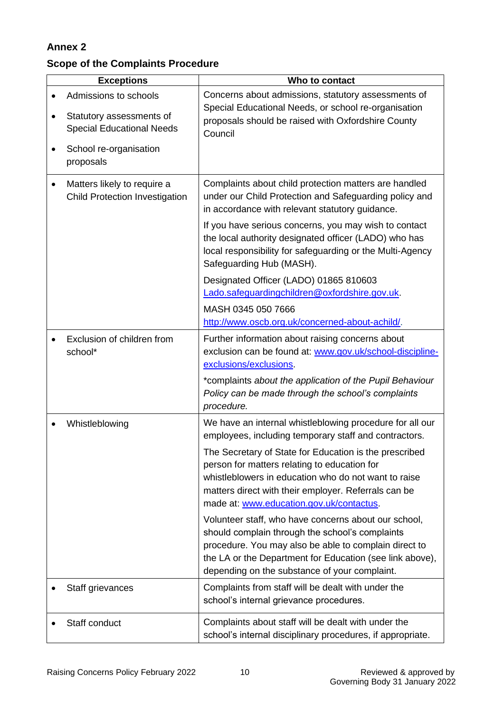# **Annex 2**

# **Scope of the Complaints Procedure**

| <b>Exceptions</b>                                                                                                            | Who to contact                                                                                                                                                                                                                                                                                                                                                                                                                                                                                                                                                                                                                                                           |
|------------------------------------------------------------------------------------------------------------------------------|--------------------------------------------------------------------------------------------------------------------------------------------------------------------------------------------------------------------------------------------------------------------------------------------------------------------------------------------------------------------------------------------------------------------------------------------------------------------------------------------------------------------------------------------------------------------------------------------------------------------------------------------------------------------------|
| Admissions to schools<br>Statutory assessments of<br><b>Special Educational Needs</b><br>School re-organisation<br>proposals | Concerns about admissions, statutory assessments of<br>Special Educational Needs, or school re-organisation<br>proposals should be raised with Oxfordshire County<br>Council                                                                                                                                                                                                                                                                                                                                                                                                                                                                                             |
| Matters likely to require a<br><b>Child Protection Investigation</b>                                                         | Complaints about child protection matters are handled<br>under our Child Protection and Safeguarding policy and<br>in accordance with relevant statutory guidance.<br>If you have serious concerns, you may wish to contact<br>the local authority designated officer (LADO) who has<br>local responsibility for safeguarding or the Multi-Agency<br>Safeguarding Hub (MASH).<br>Designated Officer (LADO) 01865 810603<br>Lado.safeguardingchildren@oxfordshire.gov.uk.<br>MASH 0345 050 7666<br>http://www.oscb.org.uk/concerned-about-achild/.                                                                                                                        |
| Exclusion of children from<br>school*                                                                                        | Further information about raising concerns about<br>exclusion can be found at: www.gov.uk/school-discipline-<br>exclusions/exclusions.<br>*complaints about the application of the Pupil Behaviour<br>Policy can be made through the school's complaints<br>procedure.                                                                                                                                                                                                                                                                                                                                                                                                   |
| Whistleblowing                                                                                                               | We have an internal whistleblowing procedure for all our<br>employees, including temporary staff and contractors.<br>The Secretary of State for Education is the prescribed<br>person for matters relating to education for<br>whistleblowers in education who do not want to raise<br>matters direct with their employer. Referrals can be<br>made at: www.education.gov.uk/contactus.<br>Volunteer staff, who have concerns about our school,<br>should complain through the school's complaints<br>procedure. You may also be able to complain direct to<br>the LA or the Department for Education (see link above),<br>depending on the substance of your complaint. |
| Staff grievances                                                                                                             | Complaints from staff will be dealt with under the<br>school's internal grievance procedures.                                                                                                                                                                                                                                                                                                                                                                                                                                                                                                                                                                            |
| Staff conduct                                                                                                                | Complaints about staff will be dealt with under the<br>school's internal disciplinary procedures, if appropriate.                                                                                                                                                                                                                                                                                                                                                                                                                                                                                                                                                        |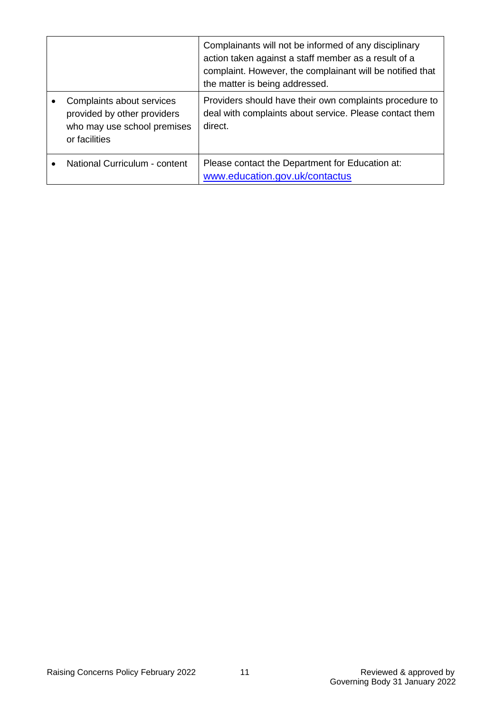|                                                                                                          | Complainants will not be informed of any disciplinary<br>action taken against a staff member as a result of a<br>complaint. However, the complainant will be notified that<br>the matter is being addressed. |
|----------------------------------------------------------------------------------------------------------|--------------------------------------------------------------------------------------------------------------------------------------------------------------------------------------------------------------|
| Complaints about services<br>provided by other providers<br>who may use school premises<br>or facilities | Providers should have their own complaints procedure to<br>deal with complaints about service. Please contact them<br>direct.                                                                                |
| National Curriculum - content                                                                            | Please contact the Department for Education at:<br>www.education.gov.uk/contactus                                                                                                                            |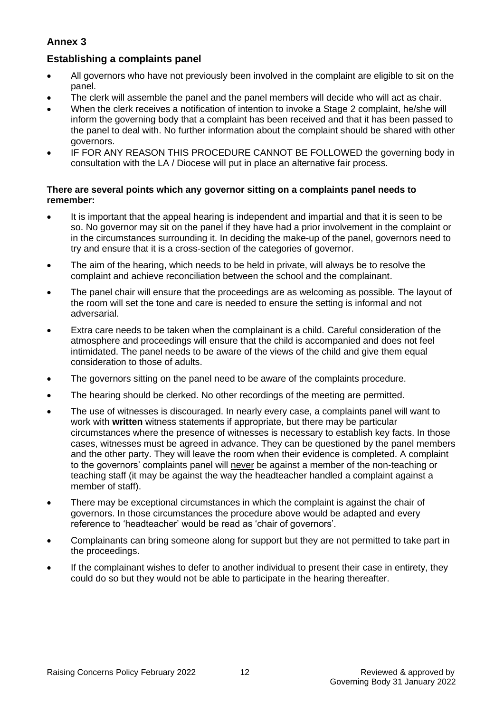# **Annex 3**

# **Establishing a complaints panel**

- All governors who have not previously been involved in the complaint are eligible to sit on the panel.
- The clerk will assemble the panel and the panel members will decide who will act as chair.
- When the clerk receives a notification of intention to invoke a Stage 2 complaint, he/she will inform the governing body that a complaint has been received and that it has been passed to the panel to deal with. No further information about the complaint should be shared with other governors.
- IF FOR ANY REASON THIS PROCEDURE CANNOT BE FOLLOWED the governing body in consultation with the LA / Diocese will put in place an alternative fair process.

#### **There are several points which any governor sitting on a complaints panel needs to remember:**

- It is important that the appeal hearing is independent and impartial and that it is seen to be so. No governor may sit on the panel if they have had a prior involvement in the complaint or in the circumstances surrounding it. In deciding the make-up of the panel, governors need to try and ensure that it is a cross-section of the categories of governor.
- The aim of the hearing, which needs to be held in private, will always be to resolve the complaint and achieve reconciliation between the school and the complainant.
- The panel chair will ensure that the proceedings are as welcoming as possible. The layout of the room will set the tone and care is needed to ensure the setting is informal and not adversarial.
- Extra care needs to be taken when the complainant is a child. Careful consideration of the atmosphere and proceedings will ensure that the child is accompanied and does not feel intimidated. The panel needs to be aware of the views of the child and give them equal consideration to those of adults.
- The governors sitting on the panel need to be aware of the complaints procedure.
- The hearing should be clerked. No other recordings of the meeting are permitted.
- The use of witnesses is discouraged. In nearly every case, a complaints panel will want to work with **written** witness statements if appropriate, but there may be particular circumstances where the presence of witnesses is necessary to establish key facts. In those cases, witnesses must be agreed in advance. They can be questioned by the panel members and the other party. They will leave the room when their evidence is completed. A complaint to the governors' complaints panel will never be against a member of the non-teaching or teaching staff (it may be against the way the headteacher handled a complaint against a member of staff).
- There may be exceptional circumstances in which the complaint is against the chair of governors. In those circumstances the procedure above would be adapted and every reference to 'headteacher' would be read as 'chair of governors'.
- Complainants can bring someone along for support but they are not permitted to take part in the proceedings.
- If the complainant wishes to defer to another individual to present their case in entirety, they could do so but they would not be able to participate in the hearing thereafter.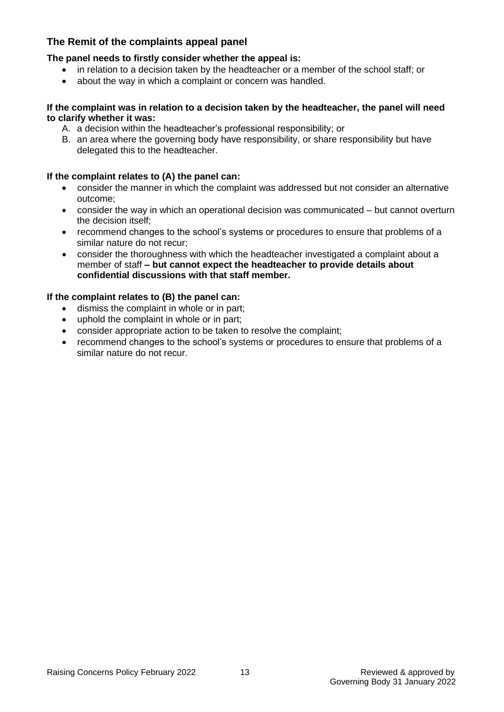# **The Remit of the complaints appeal panel**

#### **The panel needs to firstly consider whether the appeal is:**

- in relation to a decision taken by the headteacher or a member of the school staff; or
- about the way in which a complaint or concern was handled.

#### **If the complaint was in relation to a decision taken by the headteacher, the panel will need to clarify whether it was:**

- A. a decision within the headteacher's professional responsibility; or
- B. an area where the governing body have responsibility, or share responsibility but have delegated this to the headteacher.

#### **If the complaint relates to (A) the panel can:**

- consider the manner in which the complaint was addressed but not consider an alternative outcome;
- consider the way in which an operational decision was communicated but cannot overturn the decision itself;
- recommend changes to the school's systems or procedures to ensure that problems of a similar nature do not recur;
- consider the thoroughness with which the headteacher investigated a complaint about a member of staff **– but cannot expect the headteacher to provide details about confidential discussions with that staff member.**

#### **If the complaint relates to (B) the panel can:**

- dismiss the complaint in whole or in part;
- uphold the complaint in whole or in part;
- consider appropriate action to be taken to resolve the complaint;
- recommend changes to the school's systems or procedures to ensure that problems of a similar nature do not recur.